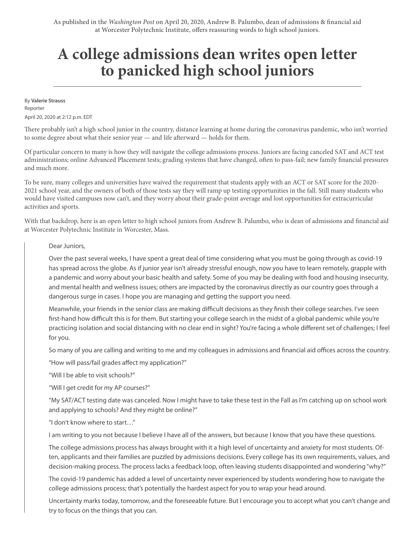## **A college admissions dean writes open letter to panicked high school juniors**

By **Valerie Strauss**  Reporter April 20, 2020 at 2:12 p.m. EDT

There probably isn't a high school junior in the country, distance learning at home during the coronavirus pandemic, who isn't worried to some degree about what their senior year — and life afterward — holds for them.

Of particular concern to many is how they will navigate the college admissions process. Juniors are facing canceled SAT and ACT test administrations; online Advanced Placement tests; grading systems that have changed, often to pass-fail; new family financial pressures and much more.

To be sure, many colleges and universities have waived the requirement that students apply with an ACT or SAT score for the 2020- 2021 school year, and the owners of both of those tests say they will ramp up testing opportunities in the fall. Still many students who would have visited campuses now can't, and they worry about their grade-point average and lost opportunities for extracurricular activities and sports.

With that backdrop, here is an open letter to high school juniors from Andrew B. Palumbo, who is dean of admissions and financial aid at Worcester Polytechnic Institute in Worcester, Mass.

## Dear Juniors,

Over the past several weeks, I have spent a great deal of time considering what you must be going through as covid-19 has spread across the globe. As if junior year isn't already stressful enough, now you have to learn remotely, grapple with a pandemic and worry about your basic health and safety. Some of you may be dealing with food and housing insecurity, and mental health and wellness issues; others are impacted by the coronavirus directly as our country goes through a dangerous surge in cases. I hope you are managing and getting the support you need.

Meanwhile, your friends in the senior class are making difficult decisions as they finish their college searches. I've seen first-hand how difficult this is for them. But starting your college search in the midst of a global pandemic while you're practicing isolation and social distancing with no clear end in sight? You're facing a whole different set of challenges; I feel for you.

So many of you are calling and writing to me and my colleagues in admissions and financial aid offices across the country.

"How will pass/fail grades affect my application?"

"Will I be able to visit schools?"

"Will I get credit for my AP courses?"

"My SAT/ACT testing date was canceled. Now I might have to take these test in the Fall as I'm catching up on school work and applying to schools? And they might be online?"

"I don't know where to start…"

I am writing to you not because I believe I have all of the answers, but because I know that you have these questions.

The college admissions process has always brought with it a high level of uncertainty and anxiety for most students. Often, applicants and their families are puzzled by admissions decisions. Every college has its own requirements, values, and decision-making process. The process lacks a feedback loop, often leaving students disappointed and wondering "why?"

The covid-19 pandemic has added a level of uncertainty never experienced by students wondering how to navigate the college admissions process; that's potentially the hardest aspect for you to wrap your head around.

Uncertainty marks today, tomorrow, and the foreseeable future. But I encourage you to accept what you can't change and try to focus on the things that you can.